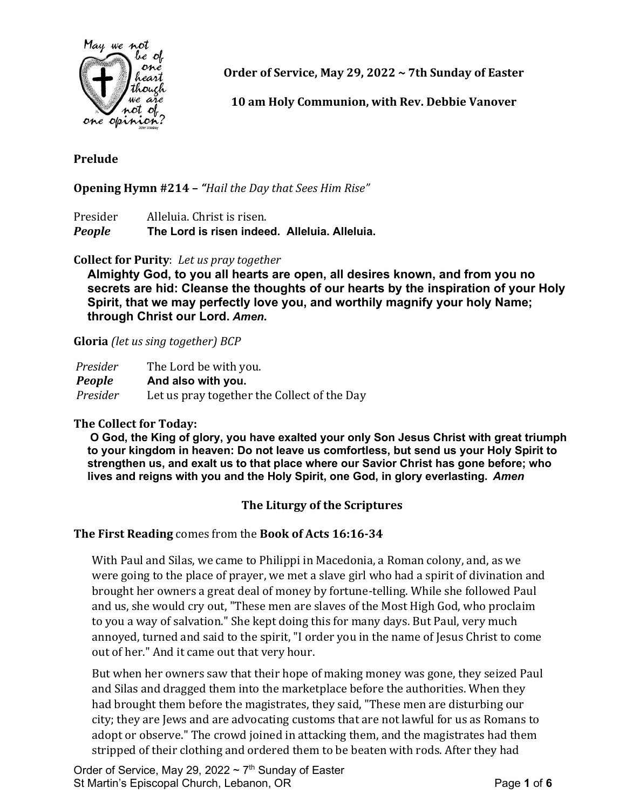

**Order of Service, May 29, 2022 ~ 7th Sunday of Easter**

**10 am Holy Communion, with Rev. Debbie Vanover**

# **Prelude**

**Opening Hymn #214 –** *"Hail the Day that Sees Him Rise"*

Presider Alleluia. Christ is risen. *People* **The Lord is risen indeed. Alleluia. Alleluia.**

## **Collect for Purity**: *Let us pray together*

**Almighty God, to you all hearts are open, all desires known, and from you no secrets are hid: Cleanse the thoughts of our hearts by the inspiration of your Holy Spirit, that we may perfectly love you, and worthily magnify your holy Name; through Christ our Lord.** *Amen.*

**Gloria** *(let us sing together) BCP* 

| Presider      | The Lord be with you.                       |
|---------------|---------------------------------------------|
| <b>People</b> | And also with you.                          |
| Presider      | Let us pray together the Collect of the Day |

# **The Collect for Today:**

**O God, the King of glory, you have exalted your only Son Jesus Christ with great triumph to your kingdom in heaven: Do not leave us comfortless, but send us your Holy Spirit to strengthen us, and exalt us to that place where our Savior Christ has gone before; who lives and reigns with you and the Holy Spirit, one God, in glory everlasting.** *Amen* 

# **The Liturgy of the Scriptures**

## **The First Reading** comes from the **Book of Acts 16:16-34**

With Paul and Silas, we came to Philippi in Macedonia, a Roman colony, and, as we were going to the place of prayer, we met a slave girl who had a spirit of divination and brought her owners a great deal of money by fortune-telling. While she followed Paul and us, she would cry out, "These men are slaves of the Most High God, who proclaim to you a way of salvation." She kept doing this for many days. But Paul, very much annoyed, turned and said to the spirit, "I order you in the name of Jesus Christ to come out of her." And it came out that very hour.

But when her owners saw that their hope of making money was gone, they seized Paul and Silas and dragged them into the marketplace before the authorities. When they had brought them before the magistrates, they said, "These men are disturbing our city; they are Jews and are advocating customs that are not lawful for us as Romans to adopt or observe." The crowd joined in attacking them, and the magistrates had them stripped of their clothing and ordered them to be beaten with rods. After they had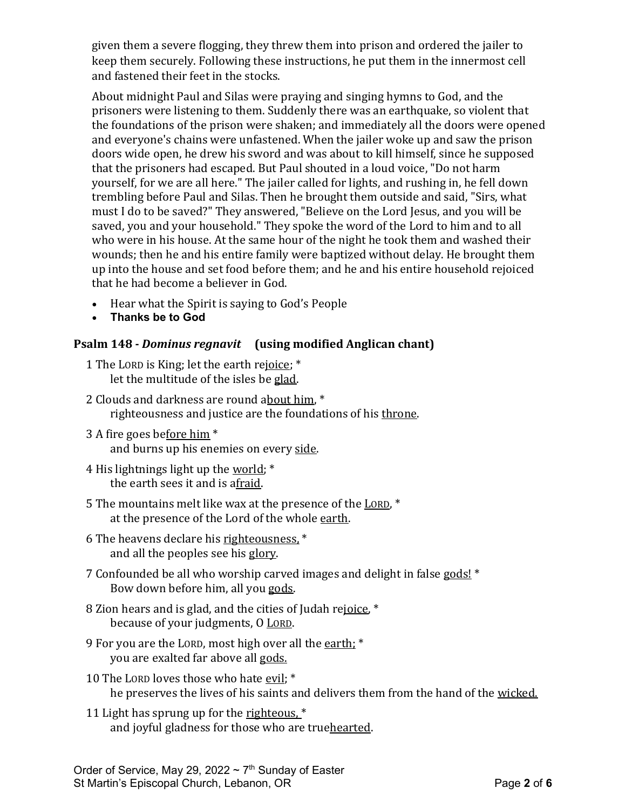given them a severe flogging, they threw them into prison and ordered the jailer to keep them securely. Following these instructions, he put them in the innermost cell and fastened their feet in the stocks.

About midnight Paul and Silas were praying and singing hymns to God, and the prisoners were listening to them. Suddenly there was an earthquake, so violent that the foundations of the prison were shaken; and immediately all the doors were opened and everyone's chains were unfastened. When the jailer woke up and saw the prison doors wide open, he drew his sword and was about to kill himself, since he supposed that the prisoners had escaped. But Paul shouted in a loud voice, "Do not harm yourself, for we are all here." The jailer called for lights, and rushing in, he fell down trembling before Paul and Silas. Then he brought them outside and said, "Sirs, what must I do to be saved?" They answered, "Believe on the Lord Jesus, and you will be saved, you and your household." They spoke the word of the Lord to him and to all who were in his house. At the same hour of the night he took them and washed their wounds; then he and his entire family were baptized without delay. He brought them up into the house and set food before them; and he and his entire household rejoiced that he had become a believer in God.

- Hear what the Spirit is saying to God's People
- **Thanks be to God**

# **Psalm 148 -** *Dominus regnavit* **(using modified Anglican chant)**

- 1 The LORD is King; let the earth rejoice; \* let the multitude of the isles be glad.
- 2 Clouds and darkness are round about him, \* righteousness and justice are the foundations of his throne.
- 3 A fire goes before him \* and burns up his enemies on every side.
- 4 His lightnings light up the world; \* the earth sees it and is afraid.
- 5 The mountains melt like wax at the presence of the LORD, \* at the presence of the Lord of the whole earth.
- 6 The heavens declare his righteousness, \* and all the peoples see his glory.
- 7 Confounded be all who worship carved images and delight in false gods! \* Bow down before him, all you gods.
- 8 Zion hears and is glad, and the cities of Judah rejoice, \* because of your judgments, O LORD.
- 9 For you are the LORD, most high over all the earth; \* you are exalted far above all gods.
- 10 The LORD loves those who hate evil; \* he preserves the lives of his saints and delivers them from the hand of the wicked.
- 11 Light has sprung up for the righteous. $*$ and joyful gladness for those who are truehearted.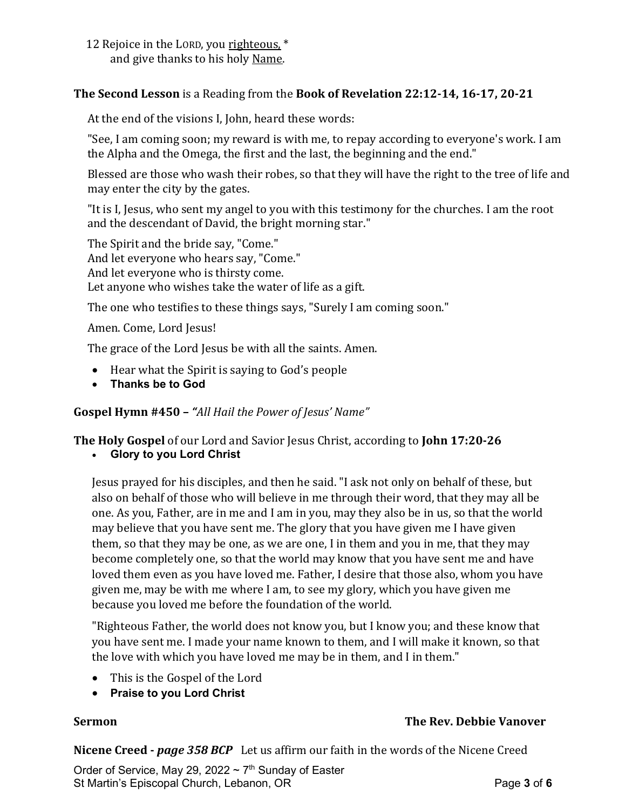12 Rejoice in the LORD, you righteous, \* and give thanks to his holy Name.

# **The Second Lesson** is a Reading from the **Book of Revelation 22:12-14, 16-17, 20-21**

At the end of the visions I, John, heard these words:

"See, I am coming soon; my reward is with me, to repay according to everyone's work. I am the Alpha and the Omega, the first and the last, the beginning and the end."

Blessed are those who wash their robes, so that they will have the right to the tree of life and may enter the city by the gates.

"It is I, Jesus, who sent my angel to you with this testimony for the churches. I am the root and the descendant of David, the bright morning star."

The Spirit and the bride say, "Come." And let everyone who hears say, "Come." And let everyone who is thirsty come. Let anyone who wishes take the water of life as a gift.

The one who testifies to these things says, "Surely I am coming soon."

Amen. Come, Lord Jesus!

The grace of the Lord Jesus be with all the saints. Amen.

- Hear what the Spirit is saying to God's people
- **Thanks be to God**

**Gospel Hymn #450 –** *"All Hail the Power of Jesus' Name"*

**The Holy Gospel** of our Lord and Savior Jesus Christ, according to **John 17:20-26**

• **Glory to you Lord Christ**

Jesus prayed for his disciples, and then he said. "I ask not only on behalf of these, but also on behalf of those who will believe in me through their word, that they may all be one. As you, Father, are in me and I am in you, may they also be in us, so that the world may believe that you have sent me. The glory that you have given me I have given them, so that they may be one, as we are one, I in them and you in me, that they may become completely one, so that the world may know that you have sent me and have loved them even as you have loved me. Father, I desire that those also, whom you have given me, may be with me where I am, to see my glory, which you have given me because you loved me before the foundation of the world.

"Righteous Father, the world does not know you, but I know you; and these know that you have sent me. I made your name known to them, and I will make it known, so that the love with which you have loved me may be in them, and I in them."

- This is the Gospel of the Lord
- **Praise to you Lord Christ**

## **Sermon The Rev. Debbie Vanover**

**Nicene Creed -** *page 358 BCP* Let us affirm our faith in the words of the Nicene Creed

Order of Service, May 29, 2022  $\sim$  7<sup>th</sup> Sunday of Easter St Martin's Episcopal Church, Lebanon, OR **Page 3** of 6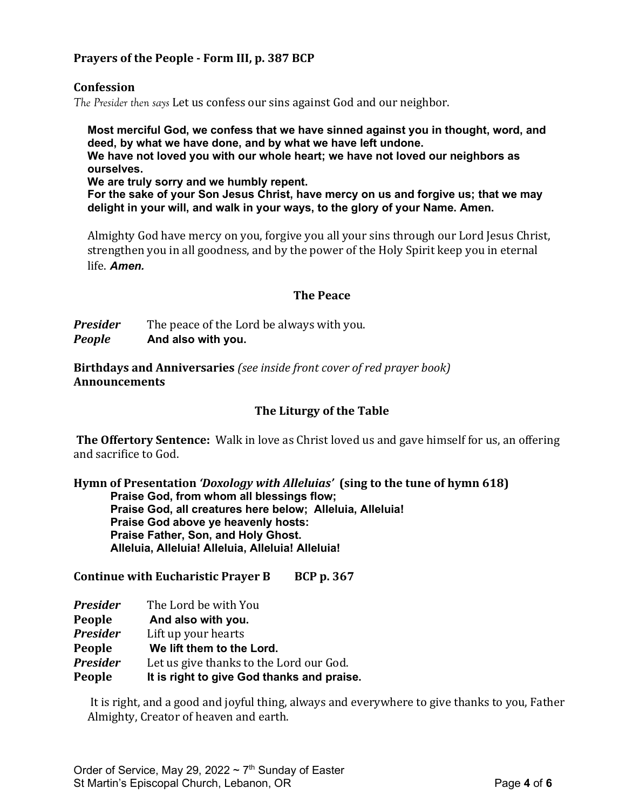# **Prayers of the People - Form III, p. 387 BCP**

#### **Confession**

*The Presider then says* Let us confess our sins against God and our neighbor.

**Most merciful God, we confess that we have sinned against you in thought, word, and deed, by what we have done, and by what we have left undone. We have not loved you with our whole heart; we have not loved our neighbors as ourselves.**

**We are truly sorry and we humbly repent.**

**For the sake of your Son Jesus Christ, have mercy on us and forgive us; that we may delight in your will, and walk in your ways, to the glory of your Name. Amen.**

Almighty God have mercy on you, forgive you all your sins through our Lord Jesus Christ, strengthen you in all goodness, and by the power of the Holy Spirit keep you in eternal life. *Amen.*

### **The Peace**

*Presider* The peace of the Lord be always with you. *People* **And also with you.**

**Birthdays and Anniversaries** *(see inside front cover of red prayer book)* **Announcements**

## **The Liturgy of the Table**

**The Offertory Sentence:** Walk in love as Christ loved us and gave himself for us, an offering and sacrifice to God.

**Hymn of Presentation** *'Doxology with Alleluias'* **(sing to the tune of hymn 618) Praise God, from whom all blessings flow; Praise God, all creatures here below; Alleluia, Alleluia! Praise God above ye heavenly hosts: Praise Father, Son, and Holy Ghost. Alleluia, Alleluia! Alleluia, Alleluia! Alleluia!**

**Continue with Eucharistic Prayer B BCP p. 367** 

*Presider* The Lord be with You

**People****And also with you.** *Presider* Lift up your hearts

**People We lift them to the Lord.**

*Presider* Let us give thanks to the Lord our God.

**People It is right to give God thanks and praise.**

It is right, and a good and joyful thing, always and everywhere to give thanks to you, Father Almighty, Creator of heaven and earth.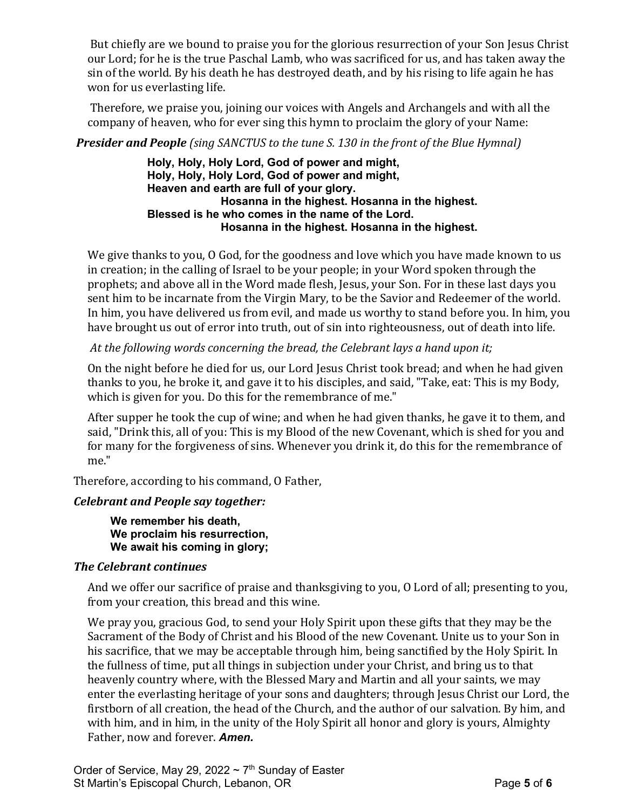But chiefly are we bound to praise you for the glorious resurrection of your Son Jesus Christ our Lord; for he is the true Paschal Lamb, who was sacrificed for us, and has taken away the sin of the world. By his death he has destroyed death, and by his rising to life again he has won for us everlasting life.

Therefore, we praise you, joining our voices with Angels and Archangels and with all the company of heaven, who for ever sing this hymn to proclaim the glory of your Name:

*Presider and People (sing SANCTUS to the tune S. 130 in the front of the Blue Hymnal)*

**Holy, Holy, Holy Lord, God of power and might, Holy, Holy, Holy Lord, God of power and might, Heaven and earth are full of your glory. Hosanna in the highest. Hosanna in the highest. Blessed is he who comes in the name of the Lord. Hosanna in the highest. Hosanna in the highest.**

We give thanks to you, O God, for the goodness and love which you have made known to us in creation; in the calling of Israel to be your people; in your Word spoken through the prophets; and above all in the Word made flesh, Jesus, your Son. For in these last days you sent him to be incarnate from the Virgin Mary, to be the Savior and Redeemer of the world. In him, you have delivered us from evil, and made us worthy to stand before you. In him, you have brought us out of error into truth, out of sin into righteousness, out of death into life.

*At the following words concerning the bread, the Celebrant lays a hand upon it;*

On the night before he died for us, our Lord Jesus Christ took bread; and when he had given thanks to you, he broke it, and gave it to his disciples, and said, "Take, eat: This is my Body, which is given for you. Do this for the remembrance of me."

After supper he took the cup of wine; and when he had given thanks, he gave it to them, and said, "Drink this, all of you: This is my Blood of the new Covenant, which is shed for you and for many for the forgiveness of sins. Whenever you drink it, do this for the remembrance of me."

Therefore, according to his command, O Father,

# *Celebrant and People say together:*

**We remember his death, We proclaim his resurrection, We await his coming in glory;**

# *The Celebrant continues*

And we offer our sacrifice of praise and thanksgiving to you, O Lord of all; presenting to you, from your creation, this bread and this wine.

We pray you, gracious God, to send your Holy Spirit upon these gifts that they may be the Sacrament of the Body of Christ and his Blood of the new Covenant. Unite us to your Son in his sacrifice, that we may be acceptable through him, being sanctified by the Holy Spirit. In the fullness of time, put all things in subjection under your Christ, and bring us to that heavenly country where, with the Blessed Mary and Martin and all your saints, we may enter the everlasting heritage of your sons and daughters; through Jesus Christ our Lord, the firstborn of all creation, the head of the Church, and the author of our salvation. By him, and with him, and in him, in the unity of the Holy Spirit all honor and glory is yours, Almighty Father, now and forever. *Amen.*